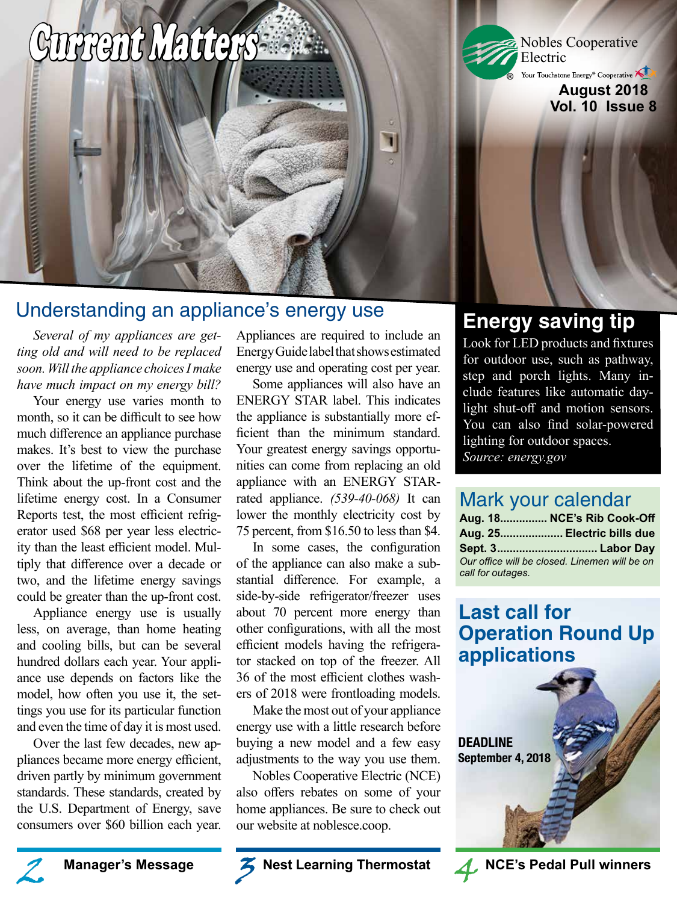# Current Matters

## Understanding an appliance's energy use

*Several of my appliances are getting old and will need to be replaced soon. Will the appliance choices I make have much impact on my energy bill?*

**SOBRITUGES IN THE REAL PROPERTY** 

Your energy use varies month to month, so it can be difficult to see how much difference an appliance purchase makes. It's best to view the purchase over the lifetime of the equipment. Think about the up-front cost and the lifetime energy cost. In a Consumer Reports test, the most efficient refrigerator used \$68 per year less electricity than the least efficient model. Multiply that difference over a decade or two, and the lifetime energy savings could be greater than the up-front cost.

Appliance energy use is usually less, on average, than home heating and cooling bills, but can be several hundred dollars each year. Your appliance use depends on factors like the model, how often you use it, the settings you use for its particular function and even the time of day it is most used.

Over the last few decades, new appliances became more energy efficient, driven partly by minimum government standards. These standards, created by the U.S. Department of Energy, save consumers over \$60 billion each year. Appliances are required to include an Energy Guide label that shows estimated energy use and operating cost per year.

Some appliances will also have an ENERGY STAR label. This indicates the appliance is substantially more efficient than the minimum standard. Your greatest energy savings opportunities can come from replacing an old appliance with an ENERGY STARrated appliance. *(539-40-068)* It can lower the monthly electricity cost by 75 percent, from \$16.50 to less than \$4.

In some cases, the configuration of the appliance can also make a substantial difference. For example, a side-by-side refrigerator/freezer uses about 70 percent more energy than other configurations, with all the most efficient models having the refrigerator stacked on top of the freezer. All 36 of the most efficient clothes washers of 2018 were frontloading models.

Make the most out of your appliance energy use with a little research before buying a new model and a few easy adjustments to the way you use them.

Nobles Cooperative Electric (NCE) also offers rebates on some of your home appliances. Be sure to check out our website at noblesce.coop.

**Manager's Message 2 3 3 Nest Learning Thermostat 4 3 NCE's Pedal Pull winners** 

## **Energy saving tip**

Nobles Cooperative

Your Touchstone Energy® Cooperative

**August 2018 Vol. 10 Issue 8**

Electric

**®**

Look for LED products and fixtures for outdoor use, such as pathway, step and porch lights. Many include features like automatic daylight shut-off and motion sensors. You can also find solar-powered lighting for outdoor spaces. *Source: energy.gov*

## Mark your calendar

|                                                                    | Aug. 18 NCE's Rib Cook-Off |
|--------------------------------------------------------------------|----------------------------|
|                                                                    | Aug. 25 Electric bills due |
|                                                                    |                            |
| Our office will be closed. Linemen will be on<br>call for outages. |                            |

## **Last call for Operation Round Up applications**





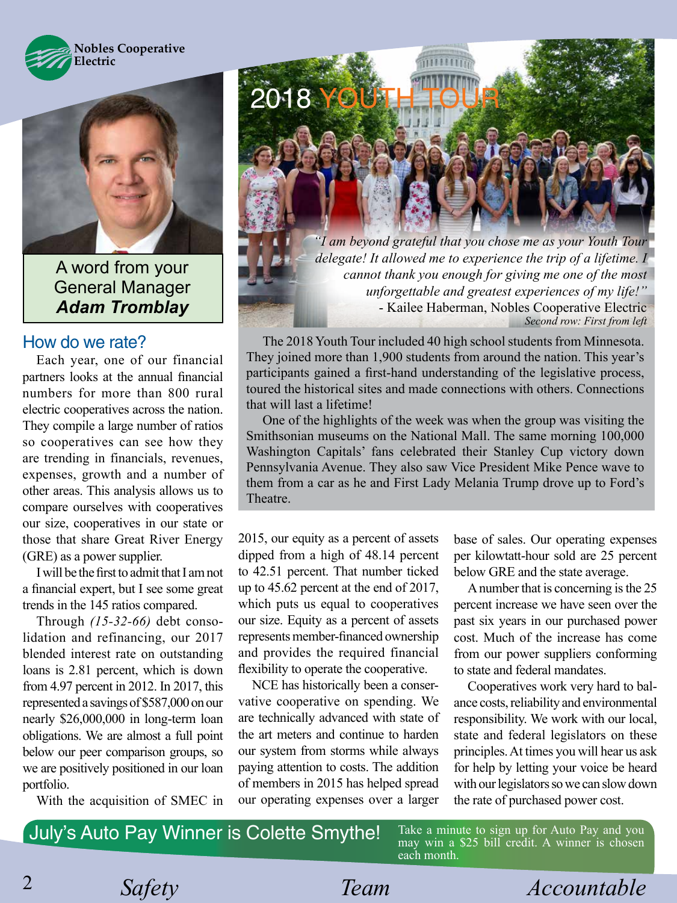



A word from your General Manager *Adam Tromblay*

### How do we rate?

Each year, one of our financial partners looks at the annual financial numbers for more than 800 rural electric cooperatives across the nation. They compile a large number of ratios so cooperatives can see how they are trending in financials, revenues, expenses, growth and a number of other areas. This analysis allows us to compare ourselves with cooperatives our size, cooperatives in our state or those that share Great River Energy (GRE) as a power supplier.

I will be the first to admit that I am not a financial expert, but I see some great trends in the 145 ratios compared.

Through *(15-32-66)* debt consolidation and refinancing, our 2017 blended interest rate on outstanding loans is 2.81 percent, which is down from 4.97 percent in 2012. In 2017, this represented a savings of \$587,000 on our nearly \$26,000,000 in long-term loan obligations. We are almost a full point below our peer comparison groups, so we are positively positioned in our loan portfolio.

With the acquisition of SMEC in



*"I am beyond grateful that you chose me as your Youth Tour delegate! It allowed me to experience the trip of a lifetime. I cannot thank you enough for giving me one of the most unforgettable and greatest experiences of my life!"* - Kailee Haberman, Nobles Cooperative Electric *Second row: First from left*

The 2018 Youth Tour included 40 high school students from Minnesota. They joined more than 1,900 students from around the nation. This year's participants gained a first-hand understanding of the legislative process, toured the historical sites and made connections with others. Connections that will last a lifetime!

One of the highlights of the week was when the group was visiting the Smithsonian museums on the National Mall. The same morning 100,000 Washington Capitals' fans celebrated their Stanley Cup victory down Pennsylvania Avenue. They also saw Vice President Mike Pence wave to them from a car as he and First Lady Melania Trump drove up to Ford's Theatre.

2015, our equity as a percent of assets dipped from a high of 48.14 percent to 42.51 percent. That number ticked up to 45.62 percent at the end of 2017, which puts us equal to cooperatives our size. Equity as a percent of assets represents member-financed ownership and provides the required financial flexibility to operate the cooperative.

NCE has historically been a conservative cooperative on spending. We are technically advanced with state of the art meters and continue to harden our system from storms while always paying attention to costs. The addition of members in 2015 has helped spread our operating expenses over a larger base of sales. Our operating expenses per kilowtatt-hour sold are 25 percent below GRE and the state average.

A number that is concerning is the 25 percent increase we have seen over the past six years in our purchased power cost. Much of the increase has come from our power suppliers conforming to state and federal mandates.

Cooperatives work very hard to balance costs, reliability and environmental responsibility. We work with our local, state and federal legislators on these principles. At times you will hear us ask for help by letting your voice be heard with our legislators so we can slow down the rate of purchased power cost.

July's Auto Pay Winner is Colette Smythe!

Take a minute to sign up for Auto Pay and you may win a \$25 bill credit. A winner is chosen each month.

2

*Safety Team Accountable*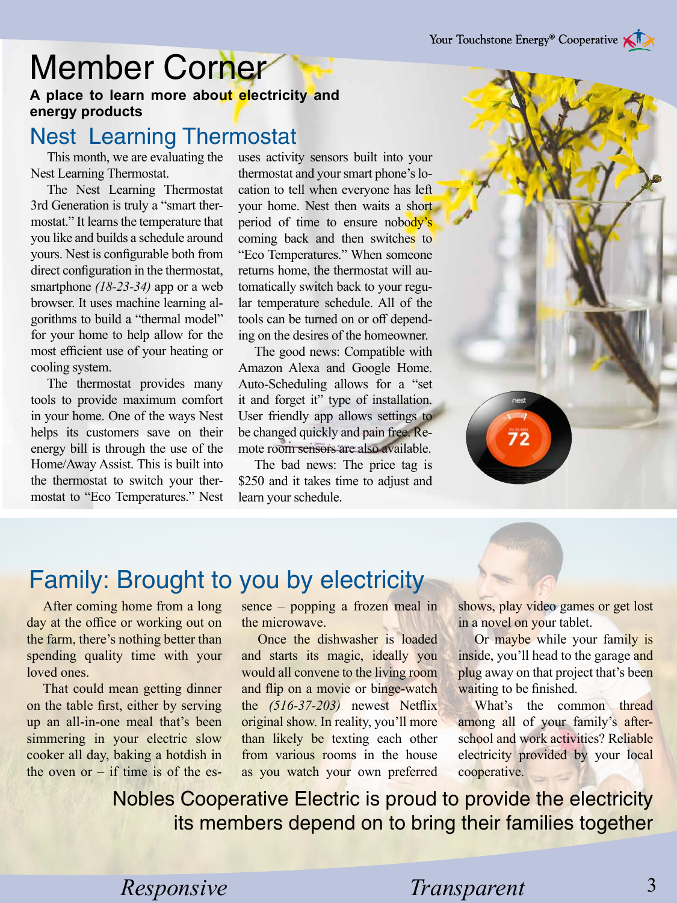## Member Corner

**A place to learn more about electricity and energy products**

## Nest Learning Thermostat

This month, we are evaluating the Nest Learning Thermostat.

The Nest Learning Thermostat 3rd Generation is truly a "smart thermostat." It learns the temperature that you like and builds a schedule around yours. Nest is configurable both from direct configuration in the thermostat, smartphone *(18-23-34)* app or a web browser. It uses machine learning algorithms to build a "thermal model" for your home to help allow for the most efficient use of your heating or cooling system.

The thermostat provides many tools to provide maximum comfort in your home. One of the ways Nest helps its customers save on their energy bill is through the use of the Home/Away Assist. This is built into the thermostat to switch your thermostat to "Eco Temperatures." Nest

uses activity sensors built into your thermostat and your smart phone's location to tell when everyone has left your home. Nest then waits a short period of time to ensure nobody's coming back and then switches to "Eco Temperatures." When someone returns home, the thermostat will automatically switch back to your regular temperature schedule. All of the tools can be turned on or off depending on the desires of the homeowner.

The good news: Compatible with Amazon Alexa and Google Home. Auto-Scheduling allows for a "set it and forget it" type of installation. User friendly app allows settings to be changed quickly and pain free. Remote room sensors are also available.

The bad news: The price tag is \$250 and it takes time to adjust and learn your schedule.



## Family: Brought to you by electricity

After coming home from a long day at the office or working out on the farm, there's nothing better than spending quality time with your loved ones.

That could mean getting dinner on the table first, either by serving up an all-in-one meal that's been simmering in your electric slow cooker all day, baking a hotdish in the oven or  $-$  if time is of the essence – popping a frozen meal in the microwave.

Once the dishwasher is loaded and starts its magic, ideally you would all convene to the living room and flip on a movie or binge-watch the *(516-37-203)* newest Netflix original show. In reality, you'll more than likely be texting each other from various rooms in the house as you watch your own preferred

shows, play video games or get lost in a novel on your tablet.

Or maybe while your family is inside, you'll head to the garage and plug away on that project that's been waiting to be finished.

What's the common thread among all of your family's afterschool and work activities? Reliable electricity provided by your local cooperative.

Nobles Cooperative Electric is proud to provide the electricity its members depend on to bring their families together

*Responsive* Transparent